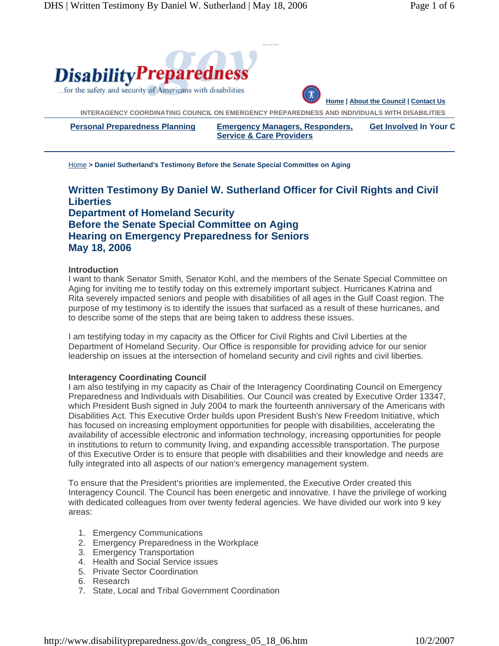

Home **> Daniel Sutherland's Testimony Before the Senate Special Committee on Aging** 

# **Written Testimony By Daniel W. Sutherland Officer for Civil Rights and Civil Liberties Department of Homeland Security Before the Senate Special Committee on Aging Hearing on Emergency Preparedness for Seniors May 18, 2006**

### **Introduction**

I want to thank Senator Smith, Senator Kohl, and the members of the Senate Special Committee on Aging for inviting me to testify today on this extremely important subject. Hurricanes Katrina and Rita severely impacted seniors and people with disabilities of all ages in the Gulf Coast region. The purpose of my testimony is to identify the issues that surfaced as a result of these hurricanes, and to describe some of the steps that are being taken to address these issues.

I am testifying today in my capacity as the Officer for Civil Rights and Civil Liberties at the Department of Homeland Security. Our Office is responsible for providing advice for our senior leadership on issues at the intersection of homeland security and civil rights and civil liberties.

### **Interagency Coordinating Council**

I am also testifying in my capacity as Chair of the Interagency Coordinating Council on Emergency Preparedness and Individuals with Disabilities. Our Council was created by Executive Order 13347, which President Bush signed in July 2004 to mark the fourteenth anniversary of the Americans with Disabilities Act. This Executive Order builds upon President Bush's New Freedom Initiative, which has focused on increasing employment opportunities for people with disabilities, accelerating the availability of accessible electronic and information technology, increasing opportunities for people in institutions to return to community living, and expanding accessible transportation. The purpose of this Executive Order is to ensure that people with disabilities and their knowledge and needs are fully integrated into all aspects of our nation's emergency management system.

To ensure that the President's priorities are implemented, the Executive Order created this Interagency Council. The Council has been energetic and innovative. I have the privilege of working with dedicated colleagues from over twenty federal agencies. We have divided our work into 9 key areas:

- 1. Emergency Communications
- 2. Emergency Preparedness in the Workplace
- 3. Emergency Transportation
- 4. Health and Social Service issues
- 5. Private Sector Coordination
- 6. Research
- 7. State, Local and Tribal Government Coordination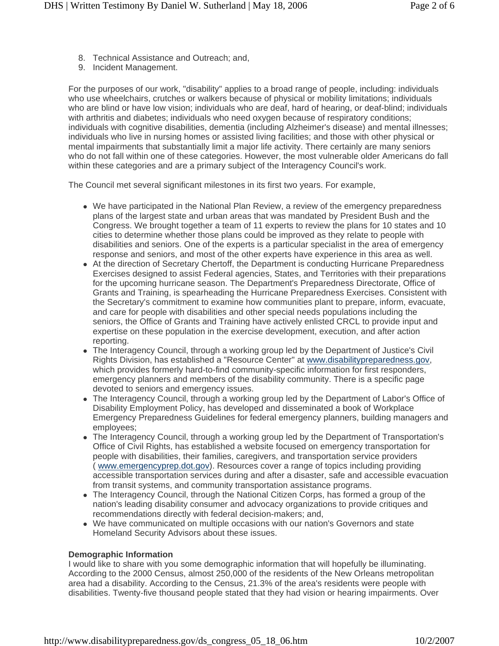- 8. Technical Assistance and Outreach; and,
- 9. Incident Management.

For the purposes of our work, "disability" applies to a broad range of people, including: individuals who use wheelchairs, crutches or walkers because of physical or mobility limitations; individuals who are blind or have low vision; individuals who are deaf, hard of hearing, or deaf-blind; individuals with arthritis and diabetes; individuals who need oxygen because of respiratory conditions; individuals with cognitive disabilities, dementia (including Alzheimer's disease) and mental illnesses; individuals who live in nursing homes or assisted living facilities; and those with other physical or mental impairments that substantially limit a major life activity. There certainly are many seniors who do not fall within one of these categories. However, the most vulnerable older Americans do fall within these categories and are a primary subject of the Interagency Council's work.

The Council met several significant milestones in its first two years. For example,

- We have participated in the National Plan Review, a review of the emergency preparedness plans of the largest state and urban areas that was mandated by President Bush and the Congress. We brought together a team of 11 experts to review the plans for 10 states and 10 cities to determine whether those plans could be improved as they relate to people with disabilities and seniors. One of the experts is a particular specialist in the area of emergency response and seniors, and most of the other experts have experience in this area as well.
- At the direction of Secretary Chertoff, the Department is conducting Hurricane Preparedness Exercises designed to assist Federal agencies, States, and Territories with their preparations for the upcoming hurricane season. The Department's Preparedness Directorate, Office of Grants and Training, is spearheading the Hurricane Preparedness Exercises. Consistent with the Secretary's commitment to examine how communities plant to prepare, inform, evacuate, and care for people with disabilities and other special needs populations including the seniors, the Office of Grants and Training have actively enlisted CRCL to provide input and expertise on these population in the exercise development, execution, and after action reporting.
- The Interagency Council, through a working group led by the Department of Justice's Civil Rights Division, has established a "Resource Center" at www.disabilitypreparedness.gov, which provides formerly hard-to-find community-specific information for first responders, emergency planners and members of the disability community. There is a specific page devoted to seniors and emergency issues.
- The Interagency Council, through a working group led by the Department of Labor's Office of Disability Employment Policy, has developed and disseminated a book of Workplace Emergency Preparedness Guidelines for federal emergency planners, building managers and employees;
- The Interagency Council, through a working group led by the Department of Transportation's Office of Civil Rights, has established a website focused on emergency transportation for people with disabilities, their families, caregivers, and transportation service providers ( www.emergencyprep.dot.gov). Resources cover a range of topics including providing accessible transportation services during and after a disaster, safe and accessible evacuation from transit systems, and community transportation assistance programs.
- The Interagency Council, through the National Citizen Corps, has formed a group of the nation's leading disability consumer and advocacy organizations to provide critiques and recommendations directly with federal decision-makers; and,
- We have communicated on multiple occasions with our nation's Governors and state Homeland Security Advisors about these issues.

### **Demographic Information**

I would like to share with you some demographic information that will hopefully be illuminating. According to the 2000 Census, almost 250,000 of the residents of the New Orleans metropolitan area had a disability. According to the Census, 21.3% of the area's residents were people with disabilities. Twenty-five thousand people stated that they had vision or hearing impairments. Over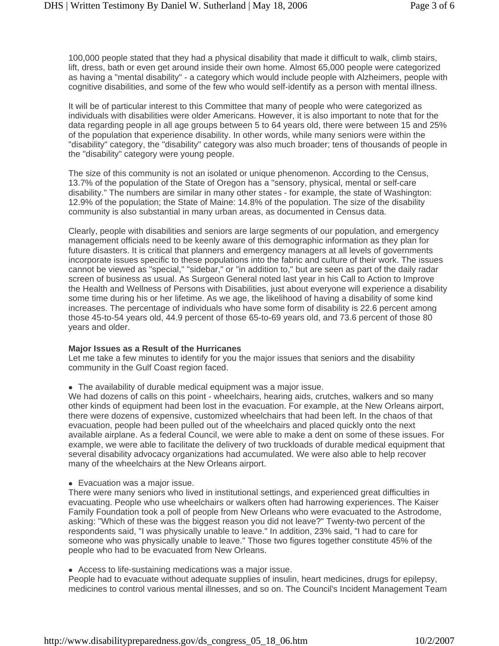100,000 people stated that they had a physical disability that made it difficult to walk, climb stairs, lift, dress, bath or even get around inside their own home. Almost 65,000 people were categorized as having a "mental disability" - a category which would include people with Alzheimers, people with cognitive disabilities, and some of the few who would self-identify as a person with mental illness.

It will be of particular interest to this Committee that many of people who were categorized as individuals with disabilities were older Americans. However, it is also important to note that for the data regarding people in all age groups between 5 to 64 years old, there were between 15 and 25% of the population that experience disability. In other words, while many seniors were within the "disability" category, the "disability" category was also much broader; tens of thousands of people in the "disability" category were young people.

The size of this community is not an isolated or unique phenomenon. According to the Census, 13.7% of the population of the State of Oregon has a "sensory, physical, mental or self-care disability." The numbers are similar in many other states - for example, the state of Washington: 12.9% of the population; the State of Maine: 14.8% of the population. The size of the disability community is also substantial in many urban areas, as documented in Census data.

Clearly, people with disabilities and seniors are large segments of our population, and emergency management officials need to be keenly aware of this demographic information as they plan for future disasters. It is critical that planners and emergency managers at all levels of governments incorporate issues specific to these populations into the fabric and culture of their work. The issues cannot be viewed as "special," "sidebar," or "in addition to," but are seen as part of the daily radar screen of business as usual. As Surgeon General noted last year in his Call to Action to Improve the Health and Wellness of Persons with Disabilities, just about everyone will experience a disability some time during his or her lifetime. As we age, the likelihood of having a disability of some kind increases. The percentage of individuals who have some form of disability is 22.6 percent among those 45-to-54 years old, 44.9 percent of those 65-to-69 years old, and 73.6 percent of those 80 years and older.

### **Major Issues as a Result of the Hurricanes**

Let me take a few minutes to identify for you the major issues that seniors and the disability community in the Gulf Coast region faced.

• The availability of durable medical equipment was a major issue.

We had dozens of calls on this point - wheelchairs, hearing aids, crutches, walkers and so many other kinds of equipment had been lost in the evacuation. For example, at the New Orleans airport, there were dozens of expensive, customized wheelchairs that had been left. In the chaos of that evacuation, people had been pulled out of the wheelchairs and placed quickly onto the next available airplane. As a federal Council, we were able to make a dent on some of these issues. For example, we were able to facilitate the delivery of two truckloads of durable medical equipment that several disability advocacy organizations had accumulated. We were also able to help recover many of the wheelchairs at the New Orleans airport.

• Evacuation was a major issue.

There were many seniors who lived in institutional settings, and experienced great difficulties in evacuating. People who use wheelchairs or walkers often had harrowing experiences. The Kaiser Family Foundation took a poll of people from New Orleans who were evacuated to the Astrodome, asking: "Which of these was the biggest reason you did not leave?" Twenty-two percent of the respondents said, "I was physically unable to leave." In addition, 23% said, "I had to care for someone who was physically unable to leave." Those two figures together constitute 45% of the people who had to be evacuated from New Orleans.

• Access to life-sustaining medications was a major issue.

People had to evacuate without adequate supplies of insulin, heart medicines, drugs for epilepsy, medicines to control various mental illnesses, and so on. The Council's Incident Management Team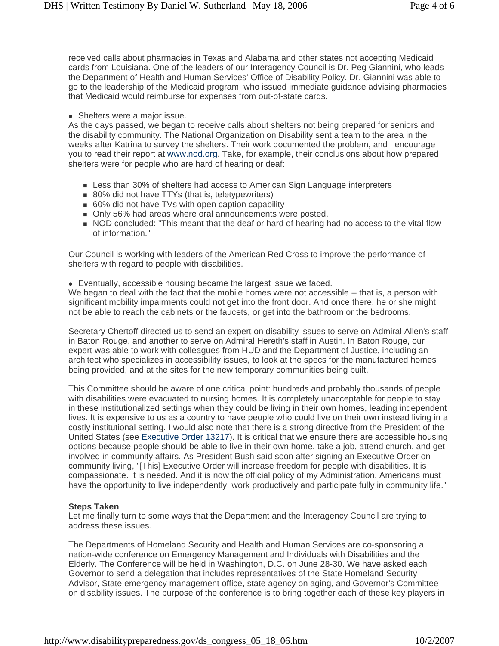received calls about pharmacies in Texas and Alabama and other states not accepting Medicaid cards from Louisiana. One of the leaders of our Interagency Council is Dr. Peg Giannini, who leads the Department of Health and Human Services' Office of Disability Policy. Dr. Giannini was able to go to the leadership of the Medicaid program, who issued immediate guidance advising pharmacies that Medicaid would reimburse for expenses from out-of-state cards.

• Shelters were a major issue.

As the days passed, we began to receive calls about shelters not being prepared for seniors and the disability community. The National Organization on Disability sent a team to the area in the weeks after Katrina to survey the shelters. Their work documented the problem, and I encourage you to read their report at www.nod.org. Take, for example, their conclusions about how prepared shelters were for people who are hard of hearing or deaf:

- **Less than 30% of shelters had access to American Sign Language interpreters**
- 80% did not have TTYs (that is, teletypewriters)
- 60% did not have TVs with open caption capability
- Only 56% had areas where oral announcements were posted.
- NOD concluded: "This meant that the deaf or hard of hearing had no access to the vital flow of information."

Our Council is working with leaders of the American Red Cross to improve the performance of shelters with regard to people with disabilities.

• Eventually, accessible housing became the largest issue we faced.

We began to deal with the fact that the mobile homes were not accessible -- that is, a person with significant mobility impairments could not get into the front door. And once there, he or she might not be able to reach the cabinets or the faucets, or get into the bathroom or the bedrooms.

Secretary Chertoff directed us to send an expert on disability issues to serve on Admiral Allen's staff in Baton Rouge, and another to serve on Admiral Hereth's staff in Austin. In Baton Rouge, our expert was able to work with colleagues from HUD and the Department of Justice, including an architect who specializes in accessibility issues, to look at the specs for the manufactured homes being provided, and at the sites for the new temporary communities being built.

This Committee should be aware of one critical point: hundreds and probably thousands of people with disabilities were evacuated to nursing homes. It is completely unacceptable for people to stay in these institutionalized settings when they could be living in their own homes, leading independent lives. It is expensive to us as a country to have people who could live on their own instead living in a costly institutional setting. I would also note that there is a strong directive from the President of the United States (see Executive Order 13217). It is critical that we ensure there are accessible housing options because people should be able to live in their own home, take a job, attend church, and get involved in community affairs. As President Bush said soon after signing an Executive Order on community living, "[This] Executive Order will increase freedom for people with disabilities. It is compassionate. It is needed. And it is now the official policy of my Administration. Americans must have the opportunity to live independently, work productively and participate fully in community life."

# **Steps Taken**

Let me finally turn to some ways that the Department and the Interagency Council are trying to address these issues.

The Departments of Homeland Security and Health and Human Services are co-sponsoring a nation-wide conference on Emergency Management and Individuals with Disabilities and the Elderly. The Conference will be held in Washington, D.C. on June 28-30. We have asked each Governor to send a delegation that includes representatives of the State Homeland Security Advisor, State emergency management office, state agency on aging, and Governor's Committee on disability issues. The purpose of the conference is to bring together each of these key players in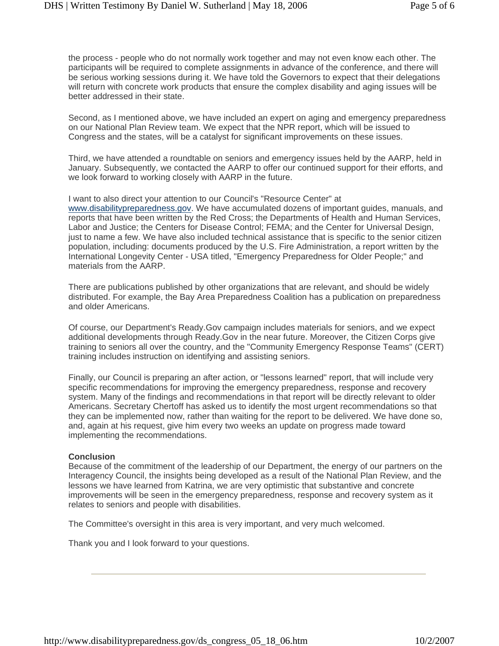the process - people who do not normally work together and may not even know each other. The participants will be required to complete assignments in advance of the conference, and there will be serious working sessions during it. We have told the Governors to expect that their delegations will return with concrete work products that ensure the complex disability and aging issues will be better addressed in their state.

Second, as I mentioned above, we have included an expert on aging and emergency preparedness on our National Plan Review team. We expect that the NPR report, which will be issued to Congress and the states, will be a catalyst for significant improvements on these issues.

Third, we have attended a roundtable on seniors and emergency issues held by the AARP, held in January. Subsequently, we contacted the AARP to offer our continued support for their efforts, and we look forward to working closely with AARP in the future.

I want to also direct your attention to our Council's "Resource Center" at

www.disabilitypreparedness.gov. We have accumulated dozens of important guides, manuals, and reports that have been written by the Red Cross; the Departments of Health and Human Services, Labor and Justice; the Centers for Disease Control; FEMA; and the Center for Universal Design, just to name a few. We have also included technical assistance that is specific to the senior citizen population, including: documents produced by the U.S. Fire Administration, a report written by the International Longevity Center - USA titled, "Emergency Preparedness for Older People;" and materials from the AARP.

There are publications published by other organizations that are relevant, and should be widely distributed. For example, the Bay Area Preparedness Coalition has a publication on preparedness and older Americans.

Of course, our Department's Ready.Gov campaign includes materials for seniors, and we expect additional developments through Ready.Gov in the near future. Moreover, the Citizen Corps give training to seniors all over the country, and the "Community Emergency Response Teams" (CERT) training includes instruction on identifying and assisting seniors.

Finally, our Council is preparing an after action, or "lessons learned" report, that will include very specific recommendations for improving the emergency preparedness, response and recovery system. Many of the findings and recommendations in that report will be directly relevant to older Americans. Secretary Chertoff has asked us to identify the most urgent recommendations so that they can be implemented now, rather than waiting for the report to be delivered. We have done so, and, again at his request, give him every two weeks an update on progress made toward implementing the recommendations.

# **Conclusion**

Because of the commitment of the leadership of our Department, the energy of our partners on the Interagency Council, the insights being developed as a result of the National Plan Review, and the lessons we have learned from Katrina, we are very optimistic that substantive and concrete improvements will be seen in the emergency preparedness, response and recovery system as it relates to seniors and people with disabilities.

The Committee's oversight in this area is very important, and very much welcomed.

Thank you and I look forward to your questions.